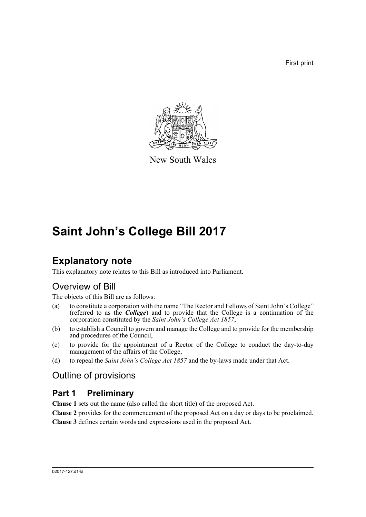First print



New South Wales

# **Saint John's College Bill 2017**

# **Explanatory note**

This explanatory note relates to this Bill as introduced into Parliament.

## Overview of Bill

The objects of this Bill are as follows:

- (a) to constitute a corporation with the name "The Rector and Fellows of Saint John's College" (referred to as the *College*) and to provide that the College is a continuation of the corporation constituted by the *Saint John's College Act 1857*,
- (b) to establish a Council to govern and manage the College and to provide for the membership and procedures of the Council,
- (c) to provide for the appointment of a Rector of the College to conduct the day-to-day management of the affairs of the College,
- (d) to repeal the *Saint John's College Act 1857* and the by-laws made under that Act.

## Outline of provisions

## **Part 1 Preliminary**

**Clause 1** sets out the name (also called the short title) of the proposed Act.

**Clause 2** provides for the commencement of the proposed Act on a day or days to be proclaimed.

**Clause 3** defines certain words and expressions used in the proposed Act.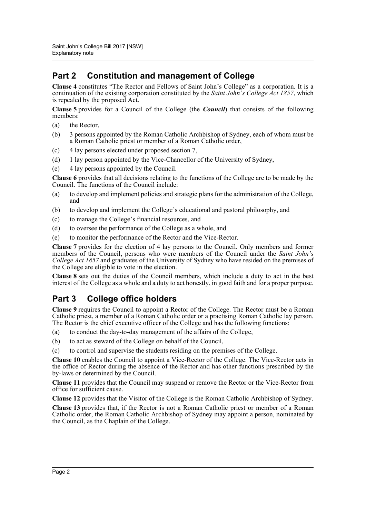## **Part 2 Constitution and management of College**

**Clause 4** constitutes "The Rector and Fellows of Saint John's College" as a corporation. It is a continuation of the existing corporation constituted by the *Saint John's College Act 1857*, which is repealed by the proposed Act.

**Clause 5** provides for a Council of the College (the *Council*) that consists of the following members:

- (a) the Rector,
- (b) 3 persons appointed by the Roman Catholic Archbishop of Sydney, each of whom must be a Roman Catholic priest or member of a Roman Catholic order,
- (c) 4 lay persons elected under proposed section 7,
- (d) 1 lay person appointed by the Vice-Chancellor of the University of Sydney,
- (e) 4 lay persons appointed by the Council.

**Clause 6** provides that all decisions relating to the functions of the College are to be made by the Council. The functions of the Council include:

- (a) to develop and implement policies and strategic plans for the administration of the College, and
- (b) to develop and implement the College's educational and pastoral philosophy, and
- (c) to manage the College's financial resources, and
- (d) to oversee the performance of the College as a whole, and
- (e) to monitor the performance of the Rector and the Vice-Rector.

**Clause 7** provides for the election of 4 lay persons to the Council. Only members and former members of the Council, persons who were members of the Council under the *Saint John's College Act 1857* and graduates of the University of Sydney who have resided on the premises of the College are eligible to vote in the election.

**Clause 8** sets out the duties of the Council members, which include a duty to act in the best interest of the College as a whole and a duty to act honestly, in good faith and for a proper purpose.

## **Part 3 College office holders**

**Clause 9** requires the Council to appoint a Rector of the College. The Rector must be a Roman Catholic priest, a member of a Roman Catholic order or a practising Roman Catholic lay person. The Rector is the chief executive officer of the College and has the following functions:

- (a) to conduct the day-to-day management of the affairs of the College,
- (b) to act as steward of the College on behalf of the Council,
- (c) to control and supervise the students residing on the premises of the College.

**Clause 10** enables the Council to appoint a Vice-Rector of the College. The Vice-Rector acts in the office of Rector during the absence of the Rector and has other functions prescribed by the by-laws or determined by the Council.

**Clause 11** provides that the Council may suspend or remove the Rector or the Vice-Rector from office for sufficient cause.

**Clause 12** provides that the Visitor of the College is the Roman Catholic Archbishop of Sydney.

**Clause 13** provides that, if the Rector is not a Roman Catholic priest or member of a Roman Catholic order, the Roman Catholic Archbishop of Sydney may appoint a person, nominated by the Council, as the Chaplain of the College.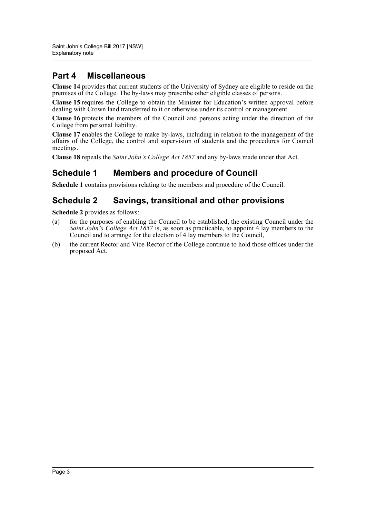## **Part 4 Miscellaneous**

**Clause 14** provides that current students of the University of Sydney are eligible to reside on the premises of the College. The by-laws may prescribe other eligible classes of persons.

**Clause 15** requires the College to obtain the Minister for Education's written approval before dealing with Crown land transferred to it or otherwise under its control or management.

**Clause 16** protects the members of the Council and persons acting under the direction of the College from personal liability.

**Clause 17** enables the College to make by-laws, including in relation to the management of the affairs of the College, the control and supervision of students and the procedures for Council meetings.

**Clause 18** repeals the *Saint John's College Act 1857* and any by-laws made under that Act.

### **Schedule 1 Members and procedure of Council**

**Schedule 1** contains provisions relating to the members and procedure of the Council.

### **Schedule 2 Savings, transitional and other provisions**

**Schedule 2** provides as follows:

- (a) for the purposes of enabling the Council to be established, the existing Council under the *Saint John's College Act 1857* is, as soon as practicable, to appoint 4 lay members to the Council and to arrange for the election of 4 lay members to the Council,
- (b) the current Rector and Vice-Rector of the College continue to hold those offices under the proposed Act.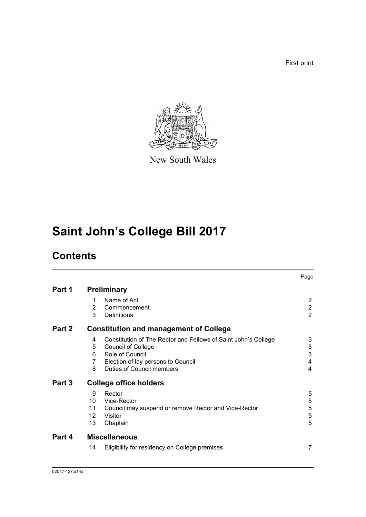First print



New South Wales

# **Saint John's College Bill 2017**

# **Contents**

|        |                           |                                                                                                                                                                                          | Page                                               |
|--------|---------------------------|------------------------------------------------------------------------------------------------------------------------------------------------------------------------------------------|----------------------------------------------------|
| Part 1 |                           | <b>Preliminary</b>                                                                                                                                                                       |                                                    |
|        | 1<br>2<br>3               | Name of Act<br>Commencement<br>Definitions                                                                                                                                               | $\overline{2}$<br>$\overline{2}$<br>$\overline{2}$ |
| Part 2 |                           | <b>Constitution and management of College</b>                                                                                                                                            |                                                    |
|        | 4<br>5<br>6<br>7<br>8     | Constitution of The Rector and Fellows of Saint John's College<br><b>Council of College</b><br>Role of Council<br>Election of lay persons to Council<br><b>Duties of Council members</b> | 3<br>3<br>3<br>$\overline{4}$<br>4                 |
| Part 3 |                           | <b>College office holders</b>                                                                                                                                                            |                                                    |
|        | 9<br>10<br>11<br>12<br>13 | Rector<br>Vice-Rector<br>Council may suspend or remove Rector and Vice-Rector<br>Visitor<br>Chaplain                                                                                     | 5<br>5<br>5<br>5<br>5                              |
| Part 4 |                           | <b>Miscellaneous</b>                                                                                                                                                                     |                                                    |
|        | 14                        | Eligibility for residency on College premises                                                                                                                                            | 7                                                  |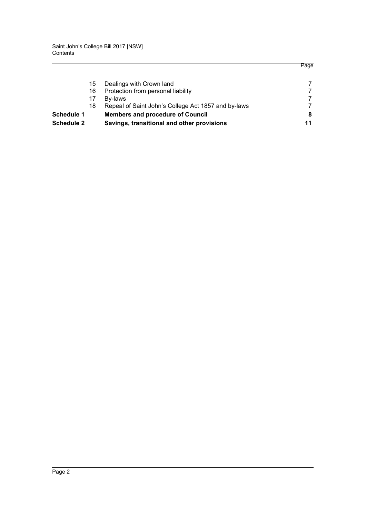|                   | Savings, transitional and other provisions          | 11 |
|-------------------|-----------------------------------------------------|----|
|                   | <b>Members and procedure of Council</b>             | 8  |
| 18                | Repeal of Saint John's College Act 1857 and by-laws |    |
| 17                | Bv-laws                                             | 7  |
| 16                | Protection from personal liability                  |    |
| 15                | Dealings with Crown land                            |    |
| <b>Schedule 2</b> |                                                     |    |

Page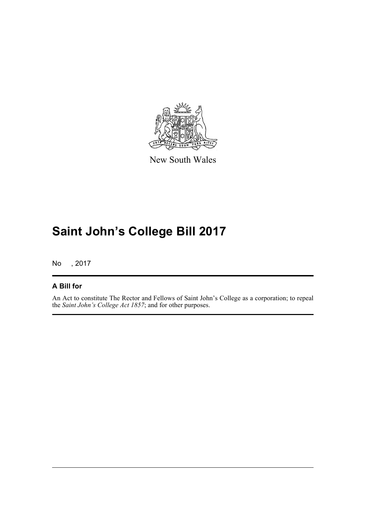

New South Wales

# **Saint John's College Bill 2017**

No , 2017

### **A Bill for**

An Act to constitute The Rector and Fellows of Saint John's College as a corporation; to repeal the *Saint John's College Act 1857*; and for other purposes.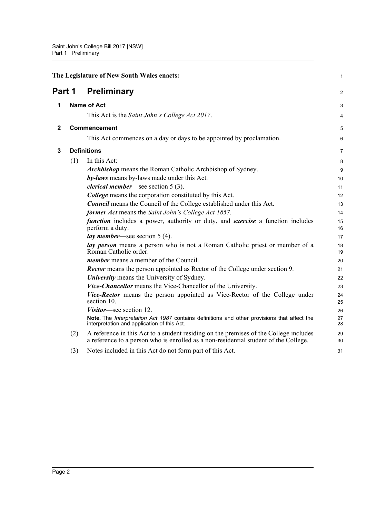<span id="page-6-3"></span><span id="page-6-2"></span><span id="page-6-1"></span><span id="page-6-0"></span>

| The Legislature of New South Wales enacts: |     |                                                                                                                                                                               | $\mathbf{1}$   |
|--------------------------------------------|-----|-------------------------------------------------------------------------------------------------------------------------------------------------------------------------------|----------------|
| Part 1                                     |     | <b>Preliminary</b>                                                                                                                                                            | $\overline{2}$ |
| 1                                          |     | <b>Name of Act</b>                                                                                                                                                            | 3              |
|                                            |     | This Act is the <i>Saint John's College Act 2017</i> .                                                                                                                        | 4              |
| $\mathbf{2}$                               |     | Commencement                                                                                                                                                                  | 5              |
|                                            |     | This Act commences on a day or days to be appointed by proclamation.                                                                                                          | 6              |
| 3                                          |     | <b>Definitions</b>                                                                                                                                                            | $\overline{7}$ |
|                                            | (1) | In this Act:                                                                                                                                                                  | 8              |
|                                            |     | <b>Archbishop</b> means the Roman Catholic Archbishop of Sydney.                                                                                                              | 9              |
|                                            |     | by-laws means by-laws made under this Act.                                                                                                                                    | 10             |
|                                            |     | <i>clerical member—see section</i> $5(3)$ .                                                                                                                                   | 11             |
|                                            |     | <b>College</b> means the corporation constituted by this Act.                                                                                                                 | 12             |
|                                            |     | <b>Council</b> means the Council of the College established under this Act.                                                                                                   | 13             |
|                                            |     | former Act means the Saint John's College Act 1857.                                                                                                                           | 14             |
|                                            |     | function includes a power, authority or duty, and exercise a function includes<br>perform a duty.                                                                             | 15<br>16       |
|                                            |     | <i>lay member</i> —see section $5(4)$ .                                                                                                                                       | 17             |
|                                            |     | lay person means a person who is not a Roman Catholic priest or member of a<br>Roman Catholic order.                                                                          | 18<br>19       |
|                                            |     | <i>member</i> means a member of the Council.                                                                                                                                  | 20             |
|                                            |     | <b>Rector</b> means the person appointed as Rector of the College under section 9.                                                                                            | 21             |
|                                            |     | University means the University of Sydney.                                                                                                                                    | 22             |
|                                            |     | Vice-Chancellor means the Vice-Chancellor of the University.                                                                                                                  | 23             |
|                                            |     | Vice-Rector means the person appointed as Vice-Rector of the College under<br>section 10.                                                                                     | 24<br>25       |
|                                            |     | Visitor—see section 12.                                                                                                                                                       | 26             |
|                                            |     | Note. The Interpretation Act 1987 contains definitions and other provisions that affect the<br>interpretation and application of this Act.                                    | 27<br>28       |
|                                            | (2) | A reference in this Act to a student residing on the premises of the College includes<br>a reference to a person who is enrolled as a non-residential student of the College. | 29<br>30       |
|                                            | (3) | Notes included in this Act do not form part of this Act.                                                                                                                      | 31             |
|                                            |     |                                                                                                                                                                               |                |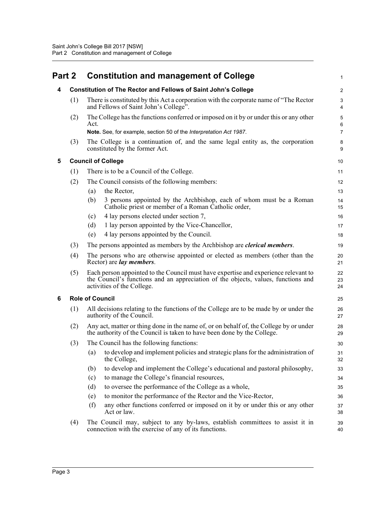<span id="page-7-3"></span><span id="page-7-2"></span><span id="page-7-1"></span><span id="page-7-0"></span>

| Part 2 |     | <b>Constitution and management of College</b>                                                                                                                                                          | 1                |
|--------|-----|--------------------------------------------------------------------------------------------------------------------------------------------------------------------------------------------------------|------------------|
| 4      |     | <b>Constitution of The Rector and Fellows of Saint John's College</b>                                                                                                                                  | $\boldsymbol{2}$ |
|        | (1) | There is constituted by this Act a corporation with the corporate name of "The Rector"<br>and Fellows of Saint John's College".                                                                        | 3<br>4           |
|        | (2) | The College has the functions conferred or imposed on it by or under this or any other<br>Act.                                                                                                         | 5<br>6           |
|        |     | Note. See, for example, section 50 of the Interpretation Act 1987.                                                                                                                                     | $\overline{7}$   |
|        | (3) | The College is a continuation of, and the same legal entity as, the corporation<br>constituted by the former Act.                                                                                      | 8<br>9           |
| 5      |     | <b>Council of College</b>                                                                                                                                                                              | 10               |
|        | (1) | There is to be a Council of the College.                                                                                                                                                               | 11               |
|        | (2) | The Council consists of the following members:                                                                                                                                                         | 12               |
|        |     | the Rector,<br>(a)                                                                                                                                                                                     | 13               |
|        |     | 3 persons appointed by the Archbishop, each of whom must be a Roman<br>(b)<br>Catholic priest or member of a Roman Catholic order,                                                                     | 14<br>15         |
|        |     | 4 lay persons elected under section 7,<br>(c)                                                                                                                                                          | 16               |
|        |     | (d)<br>1 lay person appointed by the Vice-Chancellor,                                                                                                                                                  | 17               |
|        |     | 4 lay persons appointed by the Council.<br>(e)                                                                                                                                                         | 18               |
|        | (3) | The persons appointed as members by the Archbishop are <i>clerical members</i> .                                                                                                                       | 19               |
|        | (4) | The persons who are otherwise appointed or elected as members (other than the<br>Rector) are <i>lay members</i> .                                                                                      | 20<br>21         |
|        | (5) | Each person appointed to the Council must have expertise and experience relevant to<br>the Council's functions and an appreciation of the objects, values, functions and<br>activities of the College. | 22<br>23<br>24   |
| 6      |     | <b>Role of Council</b>                                                                                                                                                                                 | 25               |
|        | (1) | All decisions relating to the functions of the College are to be made by or under the<br>authority of the Council.                                                                                     | 26<br>27         |
|        | (2) | Any act, matter or thing done in the name of, or on behalf of, the College by or under<br>the authority of the Council is taken to have been done by the College.                                      | 28<br>29         |
|        | (3) | The Council has the following functions:                                                                                                                                                               | 30               |
|        |     | to develop and implement policies and strategic plans for the administration of<br>(a)<br>the College,                                                                                                 | 31<br>32         |
|        |     | to develop and implement the College's educational and pastoral philosophy,<br>(b)                                                                                                                     | 33               |
|        |     | to manage the College's financial resources,<br>(c)                                                                                                                                                    | 34               |
|        |     | to oversee the performance of the College as a whole,<br>(d)                                                                                                                                           | 35               |
|        |     | to monitor the performance of the Rector and the Vice-Rector,<br>(e)                                                                                                                                   | 36               |
|        |     | any other functions conferred or imposed on it by or under this or any other<br>(f)<br>Act or law.                                                                                                     | 37<br>38         |
|        | (4) | The Council may, subject to any by-laws, establish committees to assist it in<br>connection with the exercise of any of its functions.                                                                 | 39<br>40         |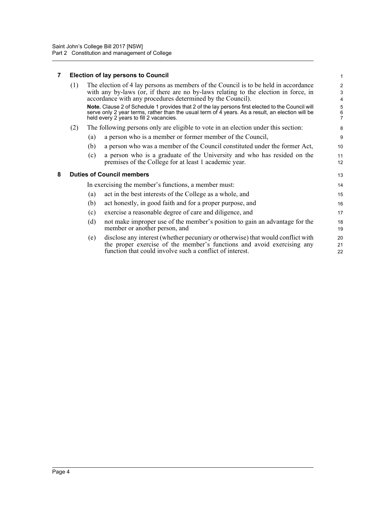### <span id="page-8-0"></span>**7 Election of lay persons to Council**

<span id="page-8-1"></span>

| 7 |                                  |     | <b>Election of lay persons to Council</b>                                                                                                                                                                                                                                                                                                                                                                                                                                                    | $\mathbf{1}$                            |
|---|----------------------------------|-----|----------------------------------------------------------------------------------------------------------------------------------------------------------------------------------------------------------------------------------------------------------------------------------------------------------------------------------------------------------------------------------------------------------------------------------------------------------------------------------------------|-----------------------------------------|
|   | (1)                              |     | The election of 4 lay persons as members of the Council is to be held in accordance<br>with any by-laws (or, if there are no by-laws relating to the election in force, in<br>accordance with any procedures determined by the Council).<br>Note. Clause 2 of Schedule 1 provides that 2 of the lay persons first elected to the Council will<br>serve only 2 year terms, rather than the usual term of 4 years. As a result, an election will be<br>held every 2 years to fill 2 vacancies. | 2<br>3<br>4<br>5<br>6<br>$\overline{7}$ |
|   | (2)                              |     | The following persons only are eligible to vote in an election under this section:                                                                                                                                                                                                                                                                                                                                                                                                           | 8                                       |
|   |                                  | (a) | a person who is a member or former member of the Council,                                                                                                                                                                                                                                                                                                                                                                                                                                    | 9                                       |
|   |                                  | (b) | a person who was a member of the Council constituted under the former Act,                                                                                                                                                                                                                                                                                                                                                                                                                   | 10                                      |
|   |                                  | (c) | a person who is a graduate of the University and who has resided on the<br>premises of the College for at least 1 academic year.                                                                                                                                                                                                                                                                                                                                                             | 11<br>12                                |
| 8 | <b>Duties of Council members</b> |     |                                                                                                                                                                                                                                                                                                                                                                                                                                                                                              | 13                                      |
|   |                                  |     | In exercising the member's functions, a member must:                                                                                                                                                                                                                                                                                                                                                                                                                                         | 14                                      |
|   |                                  | (a) | act in the best interests of the College as a whole, and                                                                                                                                                                                                                                                                                                                                                                                                                                     | 15                                      |
|   |                                  | (b) | act honestly, in good faith and for a proper purpose, and                                                                                                                                                                                                                                                                                                                                                                                                                                    | 16                                      |
|   |                                  | (c) | exercise a reasonable degree of care and diligence, and                                                                                                                                                                                                                                                                                                                                                                                                                                      | 17                                      |
|   |                                  | (d) | not make improper use of the member's position to gain an advantage for the<br>member or another person, and                                                                                                                                                                                                                                                                                                                                                                                 | 18<br>19                                |
|   |                                  | (e) | disclose any interest (whether pecuniary or otherwise) that would conflict with<br>the proper exercise of the member's functions and avoid exercising any<br>function that could involve such a conflict of interest.                                                                                                                                                                                                                                                                        | 20<br>21<br>22                          |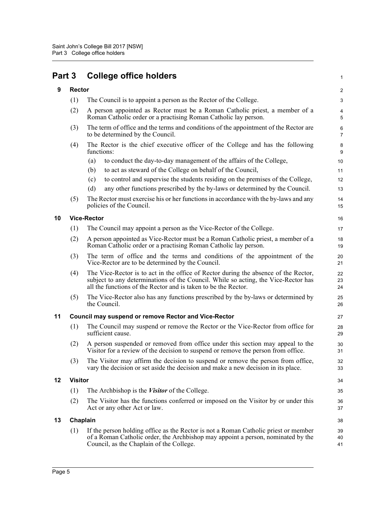<span id="page-9-5"></span><span id="page-9-4"></span><span id="page-9-3"></span><span id="page-9-2"></span><span id="page-9-1"></span><span id="page-9-0"></span>

| Part 3 |                | <b>College office holders</b>                                                                                                                                                                                                               | 1                   |
|--------|----------------|---------------------------------------------------------------------------------------------------------------------------------------------------------------------------------------------------------------------------------------------|---------------------|
| 9      | <b>Rector</b>  |                                                                                                                                                                                                                                             | 2                   |
|        | (1)            | The Council is to appoint a person as the Rector of the College.                                                                                                                                                                            | 3                   |
|        | (2)            | A person appointed as Rector must be a Roman Catholic priest, a member of a<br>Roman Catholic order or a practising Roman Catholic lay person.                                                                                              | 4<br>5              |
|        | (3)            | The term of office and the terms and conditions of the appointment of the Rector are<br>to be determined by the Council.                                                                                                                    | 6<br>$\overline{7}$ |
|        | (4)            | The Rector is the chief executive officer of the College and has the following<br>functions:                                                                                                                                                | 8<br>9              |
|        |                | to conduct the day-to-day management of the affairs of the College,<br>(a)                                                                                                                                                                  | 10                  |
|        |                | to act as steward of the College on behalf of the Council,<br>(b)                                                                                                                                                                           | 11                  |
|        |                | to control and supervise the students residing on the premises of the College,<br>(c)                                                                                                                                                       | 12                  |
|        |                | any other functions prescribed by the by-laws or determined by the Council.<br>(d)                                                                                                                                                          | 13                  |
|        | (5)            | The Rector must exercise his or her functions in accordance with the by-laws and any<br>policies of the Council.                                                                                                                            | 14<br>15            |
| 10     |                | <b>Vice-Rector</b>                                                                                                                                                                                                                          | 16                  |
|        | (1)            | The Council may appoint a person as the Vice-Rector of the College.                                                                                                                                                                         | 17                  |
|        | (2)            | A person appointed as Vice-Rector must be a Roman Catholic priest, a member of a<br>Roman Catholic order or a practising Roman Catholic lay person.                                                                                         | 18<br>19            |
|        | (3)            | The term of office and the terms and conditions of the appointment of the<br>Vice-Rector are to be determined by the Council.                                                                                                               | 20<br>21            |
|        | (4)            | The Vice-Rector is to act in the office of Rector during the absence of the Rector,<br>subject to any determinations of the Council. While so acting, the Vice-Rector has<br>all the functions of the Rector and is taken to be the Rector. | 22<br>23<br>24      |
|        | (5)            | The Vice-Rector also has any functions prescribed by the by-laws or determined by<br>the Council.                                                                                                                                           | 25<br>26            |
| 11     |                | <b>Council may suspend or remove Rector and Vice-Rector</b>                                                                                                                                                                                 | 27                  |
|        | (1)            | The Council may suspend or remove the Rector or the Vice-Rector from office for<br>sufficient cause.                                                                                                                                        | 28<br>29            |
|        | (2)            | A person suspended or removed from office under this section may appeal to the<br>Visitor for a review of the decision to suspend or remove the person from office.                                                                         | 30<br>31            |
|        | (3)            | The Visitor may affirm the decision to suspend or remove the person from office,<br>vary the decision or set aside the decision and make a new decision in its place.                                                                       | 32<br>33            |
| 12     | <b>Visitor</b> |                                                                                                                                                                                                                                             | 34                  |
|        | (1)            | The Archbishop is the <i>Visitor</i> of the College.                                                                                                                                                                                        | 35                  |
|        | (2)            | The Visitor has the functions conferred or imposed on the Visitor by or under this<br>Act or any other Act or law.                                                                                                                          | 36<br>37            |
| 13     |                | Chaplain                                                                                                                                                                                                                                    | 38                  |
|        | (1)            | If the person holding office as the Rector is not a Roman Catholic priest or member<br>of a Roman Catholic order, the Archbishop may appoint a person, nominated by the<br>Council, as the Chaplain of the College.                         | 39<br>40<br>41      |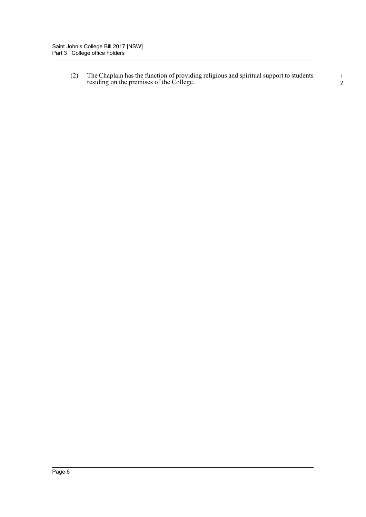(2) The Chaplain has the function of providing religious and spiritual support to students residing on the premises of the College.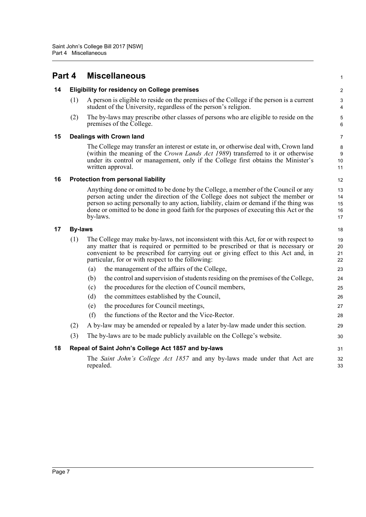<span id="page-11-5"></span><span id="page-11-4"></span><span id="page-11-3"></span><span id="page-11-2"></span><span id="page-11-1"></span><span id="page-11-0"></span>

| Part 4 |                                           | <b>Miscellaneous</b>                                                                                                                                                                                                                                                                                                                                                  | 1                              |  |  |
|--------|-------------------------------------------|-----------------------------------------------------------------------------------------------------------------------------------------------------------------------------------------------------------------------------------------------------------------------------------------------------------------------------------------------------------------------|--------------------------------|--|--|
| 14     |                                           | <b>Eligibility for residency on College premises</b>                                                                                                                                                                                                                                                                                                                  | 2                              |  |  |
|        | (1)                                       | A person is eligible to reside on the premises of the College if the person is a current<br>student of the University, regardless of the person's religion.                                                                                                                                                                                                           | $\mathbf{3}$<br>$\overline{4}$ |  |  |
|        | (2)                                       | The by-laws may prescribe other classes of persons who are eligible to reside on the<br>premises of the College.                                                                                                                                                                                                                                                      | 5<br>6                         |  |  |
| 15     |                                           | <b>Dealings with Crown land</b>                                                                                                                                                                                                                                                                                                                                       | 7                              |  |  |
|        |                                           | The College may transfer an interest or estate in, or otherwise deal with, Crown land<br>(within the meaning of the Crown Lands Act 1989) transferred to it or otherwise<br>under its control or management, only if the College first obtains the Minister's<br>written approval.                                                                                    | 8<br>9<br>10<br>11             |  |  |
| 16     | <b>Protection from personal liability</b> |                                                                                                                                                                                                                                                                                                                                                                       |                                |  |  |
|        |                                           | Anything done or omitted to be done by the College, a member of the Council or any<br>person acting under the direction of the College does not subject the member or<br>person so acting personally to any action, liability, claim or demand if the thing was<br>done or omitted to be done in good faith for the purposes of executing this Act or the<br>by-laws. | 13<br>14<br>15<br>16<br>17     |  |  |
| 17     | <b>By-laws</b>                            |                                                                                                                                                                                                                                                                                                                                                                       | 18                             |  |  |
|        | (1)                                       | The College may make by-laws, not inconsistent with this Act, for or with respect to<br>any matter that is required or permitted to be prescribed or that is necessary or<br>convenient to be prescribed for carrying out or giving effect to this Act and, in<br>particular, for or with respect to the following:                                                   |                                |  |  |
|        |                                           | the management of the affairs of the College,<br>(a)                                                                                                                                                                                                                                                                                                                  | 23                             |  |  |
|        |                                           | the control and supervision of students residing on the premises of the College,<br>(b)                                                                                                                                                                                                                                                                               | 24                             |  |  |
|        |                                           | the procedures for the election of Council members,<br>(c)                                                                                                                                                                                                                                                                                                            | 25                             |  |  |
|        |                                           | (d)<br>the committees established by the Council,                                                                                                                                                                                                                                                                                                                     | 26                             |  |  |
|        |                                           | the procedures for Council meetings,<br>(e)                                                                                                                                                                                                                                                                                                                           | 27                             |  |  |
|        |                                           | the functions of the Rector and the Vice-Rector.<br>(f)                                                                                                                                                                                                                                                                                                               | 28                             |  |  |
|        | (2)                                       | A by-law may be amended or repealed by a later by-law made under this section.                                                                                                                                                                                                                                                                                        | 29                             |  |  |
|        | (3)                                       | The by-laws are to be made publicly available on the College's website.                                                                                                                                                                                                                                                                                               | 30                             |  |  |
| 18     |                                           | Repeal of Saint John's College Act 1857 and by-laws                                                                                                                                                                                                                                                                                                                   | 31                             |  |  |
|        |                                           | The Saint John's College Act 1857 and any by-laws made under that Act are<br>repealed.                                                                                                                                                                                                                                                                                | 32<br>33                       |  |  |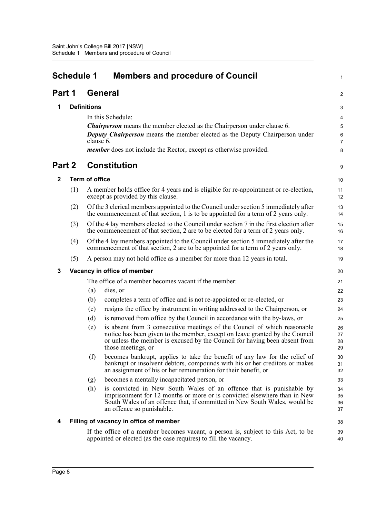<span id="page-12-0"></span>

| <b>Schedule 1</b><br><b>Members and procedure of Council</b> |     |                       |                                                                                                                                                                                                                                                           | 1                    |
|--------------------------------------------------------------|-----|-----------------------|-----------------------------------------------------------------------------------------------------------------------------------------------------------------------------------------------------------------------------------------------------------|----------------------|
| Part 1                                                       |     |                       | General                                                                                                                                                                                                                                                   | 2                    |
| 1                                                            |     | <b>Definitions</b>    |                                                                                                                                                                                                                                                           | 3                    |
|                                                              |     |                       | In this Schedule:                                                                                                                                                                                                                                         | 4                    |
|                                                              |     |                       | <b>Chairperson</b> means the member elected as the Chairperson under clause 6.                                                                                                                                                                            | 5                    |
|                                                              |     | clause 6.             | <b>Deputy Chairperson</b> means the member elected as the Deputy Chairperson under                                                                                                                                                                        | 6<br>$\overline{7}$  |
|                                                              |     |                       | <i>member</i> does not include the Rector, except as otherwise provided.                                                                                                                                                                                  | 8                    |
| Part 2                                                       |     |                       | <b>Constitution</b>                                                                                                                                                                                                                                       | 9                    |
| $\mathbf{2}$                                                 |     | <b>Term of office</b> |                                                                                                                                                                                                                                                           | 10                   |
|                                                              | (1) |                       | A member holds office for 4 years and is eligible for re-appointment or re-election,<br>except as provided by this clause.                                                                                                                                | 11<br>12             |
|                                                              | (2) |                       | Of the 3 clerical members appointed to the Council under section 5 immediately after<br>the commencement of that section, 1 is to be appointed for a term of 2 years only.                                                                                | 13<br>14             |
|                                                              | (3) |                       | Of the 4 lay members elected to the Council under section 7 in the first election after<br>the commencement of that section, 2 are to be elected for a term of 2 years only.                                                                              | 15<br>16             |
|                                                              | (4) |                       | Of the 4 lay members appointed to the Council under section 5 immediately after the<br>commencement of that section, 2 are to be appointed for a term of 2 years only.                                                                                    | 17<br>18             |
|                                                              | (5) |                       | A person may not hold office as a member for more than 12 years in total.                                                                                                                                                                                 | 19                   |
| 3                                                            |     |                       | Vacancy in office of member                                                                                                                                                                                                                               | 20                   |
|                                                              |     |                       | The office of a member becomes vacant if the member:                                                                                                                                                                                                      | 21                   |
|                                                              |     | (a)                   | dies, or                                                                                                                                                                                                                                                  | 22                   |
|                                                              |     | (b)                   | completes a term of office and is not re-appointed or re-elected, or                                                                                                                                                                                      | 23                   |
|                                                              |     | (c)                   | resigns the office by instrument in writing addressed to the Chairperson, or                                                                                                                                                                              | 24                   |
|                                                              |     | (d)                   | is removed from office by the Council in accordance with the by-laws, or                                                                                                                                                                                  | 25                   |
|                                                              |     | (e)                   | is absent from 3 consecutive meetings of the Council of which reasonable<br>notice has been given to the member, except on leave granted by the Council                                                                                                   | 26                   |
|                                                              |     |                       | or unless the member is excused by the Council for having been absent from                                                                                                                                                                                | 27<br>28             |
|                                                              |     |                       | those meetings, or                                                                                                                                                                                                                                        | 29                   |
|                                                              |     | (f)                   | becomes bankrupt, applies to take the benefit of any law for the relief of<br>bankrupt or insolvent debtors, compounds with his or her creditors or makes<br>an assignment of his or her remuneration for their benefit, or                               | 30<br>31<br>32       |
|                                                              |     | (g)                   | becomes a mentally incapacitated person, or                                                                                                                                                                                                               | 33                   |
|                                                              |     | (h)                   | is convicted in New South Wales of an offence that is punishable by<br>imprisonment for 12 months or more or is convicted elsewhere than in New<br>South Wales of an offence that, if committed in New South Wales, would be<br>an offence so punishable. | 34<br>35<br>36<br>37 |
| 4                                                            |     |                       | Filling of vacancy in office of member                                                                                                                                                                                                                    | 38                   |
|                                                              |     |                       | If the office of a member becomes vacant, a person is, subject to this Act, to be<br>appointed or elected (as the case requires) to fill the vacancy.                                                                                                     | 39<br>40             |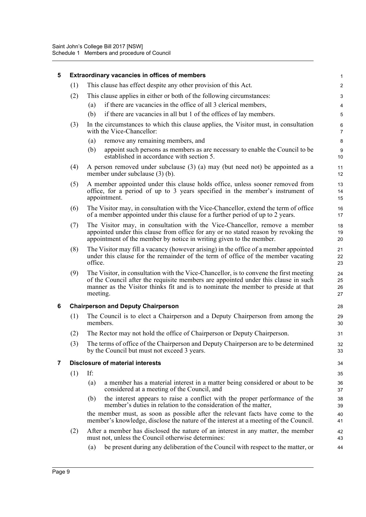| 5 |     | Extraordinary vacancies in offices of members                                                                                                                                                                                                                                 | $\mathbf{1}$              |  |  |
|---|-----|-------------------------------------------------------------------------------------------------------------------------------------------------------------------------------------------------------------------------------------------------------------------------------|---------------------------|--|--|
|   | (1) | This clause has effect despite any other provision of this Act.                                                                                                                                                                                                               | $\overline{2}$            |  |  |
|   | (2) | This clause applies in either or both of the following circumstances:                                                                                                                                                                                                         | 3                         |  |  |
|   |     | if there are vacancies in the office of all 3 clerical members,<br>(a)                                                                                                                                                                                                        | 4                         |  |  |
|   |     | (b)<br>if there are vacancies in all but 1 of the offices of lay members.                                                                                                                                                                                                     | 5                         |  |  |
|   | (3) | In the circumstances to which this clause applies, the Visitor must, in consultation<br>with the Vice-Chancellor:                                                                                                                                                             | $\,6\,$<br>$\overline{7}$ |  |  |
|   |     | remove any remaining members, and<br>(a)                                                                                                                                                                                                                                      | 8                         |  |  |
|   |     | appoint such persons as members as are necessary to enable the Council to be<br>(b)<br>established in accordance with section 5.                                                                                                                                              | 9<br>10                   |  |  |
|   | (4) | A person removed under subclause $(3)$ (a) may (but need not) be appointed as a<br>member under subclause (3) (b).                                                                                                                                                            |                           |  |  |
|   | (5) | A member appointed under this clause holds office, unless sooner removed from<br>office, for a period of up to 3 years specified in the member's instrument of<br>appointment.                                                                                                | 13<br>14<br>15            |  |  |
|   | (6) | The Visitor may, in consultation with the Vice-Chancellor, extend the term of office<br>of a member appointed under this clause for a further period of up to 2 years.                                                                                                        | 16<br>17                  |  |  |
|   | (7) | The Visitor may, in consultation with the Vice-Chancellor, remove a member<br>appointed under this clause from office for any or no stated reason by revoking the<br>appointment of the member by notice in writing given to the member.                                      | 18<br>19<br>20            |  |  |
|   | (8) | The Visitor may fill a vacancy (however arising) in the office of a member appointed<br>under this clause for the remainder of the term of office of the member vacating<br>office.                                                                                           | 21<br>22<br>23            |  |  |
|   | (9) | The Visitor, in consultation with the Vice-Chancellor, is to convene the first meeting<br>of the Council after the requisite members are appointed under this clause in such<br>manner as the Visitor thinks fit and is to nominate the member to preside at that<br>meeting. | 24<br>25<br>26<br>27      |  |  |
| 6 |     | <b>Chairperson and Deputy Chairperson</b>                                                                                                                                                                                                                                     | 28                        |  |  |
|   | (1) | The Council is to elect a Chairperson and a Deputy Chairperson from among the<br>members.                                                                                                                                                                                     | 29<br>30                  |  |  |
|   | (2) | The Rector may not hold the office of Chairperson or Deputy Chairperson.                                                                                                                                                                                                      | 31                        |  |  |
|   | (3) | The terms of office of the Chairperson and Deputy Chairperson are to be determined<br>by the Council but must not exceed 3 years.                                                                                                                                             | 32<br>33                  |  |  |
| 7 |     | <b>Disclosure of material interests</b>                                                                                                                                                                                                                                       | 34                        |  |  |
|   | (1) | If:                                                                                                                                                                                                                                                                           | 35                        |  |  |
|   |     | (a)<br>a member has a material interest in a matter being considered or about to be<br>considered at a meeting of the Council, and                                                                                                                                            | 36<br>37                  |  |  |
|   |     | the interest appears to raise a conflict with the proper performance of the<br>(b)<br>member's duties in relation to the consideration of the matter,                                                                                                                         | 38<br>39                  |  |  |
|   |     | the member must, as soon as possible after the relevant facts have come to the<br>member's knowledge, disclose the nature of the interest at a meeting of the Council.                                                                                                        | 40<br>41                  |  |  |
|   | (2) | After a member has disclosed the nature of an interest in any matter, the member<br>must not, unless the Council otherwise determines:                                                                                                                                        | 42<br>43                  |  |  |
|   |     | be present during any deliberation of the Council with respect to the matter, or<br>(a)                                                                                                                                                                                       | 44                        |  |  |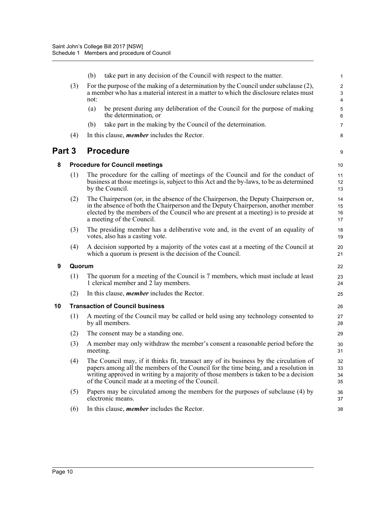|        |        | take part in any decision of the Council with respect to the matter.<br>(b)                                                                                                                                                                                                                                              | 1                    |
|--------|--------|--------------------------------------------------------------------------------------------------------------------------------------------------------------------------------------------------------------------------------------------------------------------------------------------------------------------------|----------------------|
|        | (3)    | For the purpose of the making of a determination by the Council under subclause (2),<br>a member who has a material interest in a matter to which the disclosure relates must<br>not:                                                                                                                                    |                      |
|        |        | be present during any deliberation of the Council for the purpose of making<br>(a)<br>the determination, or                                                                                                                                                                                                              | 5<br>6               |
|        |        | take part in the making by the Council of the determination.<br>(b)                                                                                                                                                                                                                                                      | $\overline{7}$       |
|        | (4)    | In this clause, <i>member</i> includes the Rector.                                                                                                                                                                                                                                                                       | 8                    |
| Part 3 |        | <b>Procedure</b>                                                                                                                                                                                                                                                                                                         | 9                    |
| 8      |        | <b>Procedure for Council meetings</b>                                                                                                                                                                                                                                                                                    | 10                   |
|        | (1)    | The procedure for the calling of meetings of the Council and for the conduct of<br>business at those meetings is, subject to this Act and the by-laws, to be as determined<br>by the Council.                                                                                                                            | 11<br>12<br>13       |
|        | (2)    | The Chairperson (or, in the absence of the Chairperson, the Deputy Chairperson or,<br>in the absence of both the Chairperson and the Deputy Chairperson, another member<br>elected by the members of the Council who are present at a meeting) is to preside at<br>a meeting of the Council.                             | 14<br>15<br>16<br>17 |
|        | (3)    | The presiding member has a deliberative vote and, in the event of an equality of<br>votes, also has a casting vote.                                                                                                                                                                                                      | 18<br>19             |
|        | (4)    | A decision supported by a majority of the votes cast at a meeting of the Council at<br>which a quorum is present is the decision of the Council.                                                                                                                                                                         | 20<br>21             |
| 9      | Quorum |                                                                                                                                                                                                                                                                                                                          | 22                   |
|        | (1)    | The quorum for a meeting of the Council is 7 members, which must include at least<br>1 clerical member and 2 lay members.                                                                                                                                                                                                | 23<br>24             |
|        | (2)    | In this clause, <i>member</i> includes the Rector.                                                                                                                                                                                                                                                                       | 25                   |
| 10     |        | <b>Transaction of Council business</b>                                                                                                                                                                                                                                                                                   | 26                   |
|        | (1)    | A meeting of the Council may be called or held using any technology consented to<br>by all members.                                                                                                                                                                                                                      | 27<br>28             |
|        | (2)    | The consent may be a standing one.                                                                                                                                                                                                                                                                                       | 29                   |
|        | (3)    | A member may only withdraw the member's consent a reasonable period before the<br>meeting.                                                                                                                                                                                                                               | $30\,$<br>31         |
|        | (4)    | The Council may, if it thinks fit, transact any of its business by the circulation of<br>papers among all the members of the Council for the time being, and a resolution in<br>writing approved in writing by a majority of those members is taken to be a decision<br>of the Council made at a meeting of the Council. | 32<br>33<br>34<br>35 |
|        | (5)    | Papers may be circulated among the members for the purposes of subclause (4) by<br>electronic means.                                                                                                                                                                                                                     | 36<br>37             |
|        | (6)    | In this clause, <i>member</i> includes the Rector.                                                                                                                                                                                                                                                                       | 38                   |